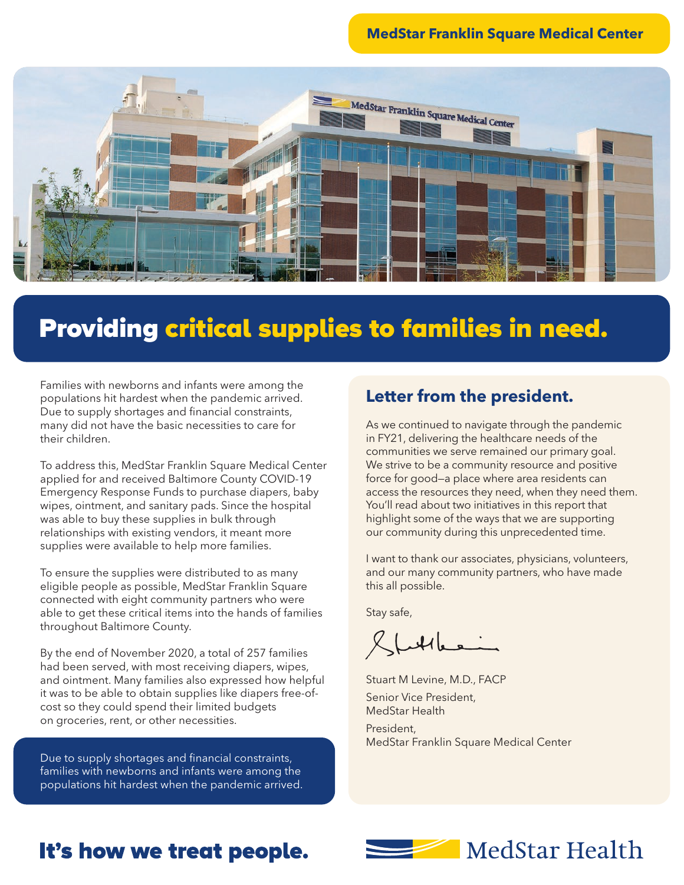#### **MedStar Franklin Square Medical Center**



# Providing critical supplies to families in need.

Families with newborns and infants were among the populations hit hardest when the pandemic arrived. Due to supply shortages and financial constraints, many did not have the basic necessities to care for their children.

To address this, MedStar Franklin Square Medical Center applied for and received Baltimore County COVID-19 Emergency Response Funds to purchase diapers, baby wipes, ointment, and sanitary pads. Since the hospital was able to buy these supplies in bulk through relationships with existing vendors, it meant more supplies were available to help more families.

To ensure the supplies were distributed to as many eligible people as possible, MedStar Franklin Square connected with eight community partners who were able to get these critical items into the hands of families throughout Baltimore County.

By the end of November 2020, a total of 257 families had been served, with most receiving diapers, wipes, and ointment. Many families also expressed how helpful it was to be able to obtain supplies like diapers free-ofcost so they could spend their limited budgets on groceries, rent, or other necessities.

Due to supply shortages and financial constraints, families with newborns and infants were among the populations hit hardest when the pandemic arrived.

#### **Letter from the president.**

As we continued to navigate through the pandemic in FY21, delivering the healthcare needs of the communities we serve remained our primary goal. We strive to be a community resource and positive force for good—a place where area residents can access the resources they need, when they need them. You'll read about two initiatives in this report that highlight some of the ways that we are supporting our community during this unprecedented time.

I want to thank our associates, physicians, volunteers, and our many community partners, who have made this all possible.

Stay safe,

 $X$  futthere

Stuart M Levine, M.D., FACP Senior Vice President, MedStar Health

President, MedStar Franklin Square Medical Center

### It's how we treat people.